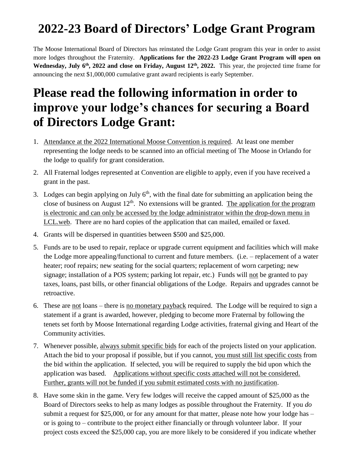## **2022-23 Board of Directors' Lodge Grant Program**

The Moose International Board of Directors has reinstated the Lodge Grant program this year in order to assist more lodges throughout the Fraternity. **Applications for the 2022-23 Lodge Grant Program will open on** Wednesday, July 6<sup>th</sup>, 2022 and close on Friday, August 12<sup>th</sup>, 2022. This year, the projected time frame for announcing the next \$1,000,000 cumulative grant award recipients is early September.

## **Please read the following information in order to improve your lodge's chances for securing a Board of Directors Lodge Grant:**

- 1. Attendance at the 2022 International Moose Convention is required. At least one member representing the lodge needs to be scanned into an official meeting of The Moose in Orlando for the lodge to qualify for grant consideration.
- 2. All Fraternal lodges represented at Convention are eligible to apply, even if you have received a grant in the past.
- 3. Lodges can begin applying on July  $6<sup>th</sup>$ , with the final date for submitting an application being the close of business on August  $12<sup>th</sup>$ . No extensions will be granted. The application for the program is electronic and can only be accessed by the lodge administrator within the drop-down menu in LCL.web. There are no hard copies of the application that can mailed, emailed or faxed.
- 4. Grants will be dispersed in quantities between \$500 and \$25,000.
- 5. Funds are to be used to repair, replace or upgrade current equipment and facilities which will make the Lodge more appealing/functional to current and future members. (i.e. – replacement of a water heater; roof repairs; new seating for the social quarters; replacement of worn carpeting; new signage; installation of a POS system; parking lot repair, etc.) Funds will not be granted to pay taxes, loans, past bills, or other financial obligations of the Lodge. Repairs and upgrades cannot be retroactive.
- 6. These are not loans there is no monetary payback required. The Lodge will be required to sign a statement if a grant is awarded, however, pledging to become more Fraternal by following the tenets set forth by Moose International regarding Lodge activities, fraternal giving and Heart of the Community activities.
- 7. Whenever possible, always submit specific bids for each of the projects listed on your application. Attach the bid to your proposal if possible, but if you cannot, you must still list specific costs from the bid within the application. If selected, you will be required to supply the bid upon which the application was based. Applications without specific costs attached will not be considered. Further, grants will not be funded if you submit estimated costs with no justification.
- 8. Have some skin in the game. Very few lodges will receive the capped amount of \$25,000 as the Board of Directors seeks to help as many lodges as possible throughout the Fraternity. If you *do* submit a request for \$25,000, or for any amount for that matter, please note how your lodge has – or is going to – contribute to the project either financially or through volunteer labor. If your project costs exceed the \$25,000 cap, you are more likely to be considered if you indicate whether